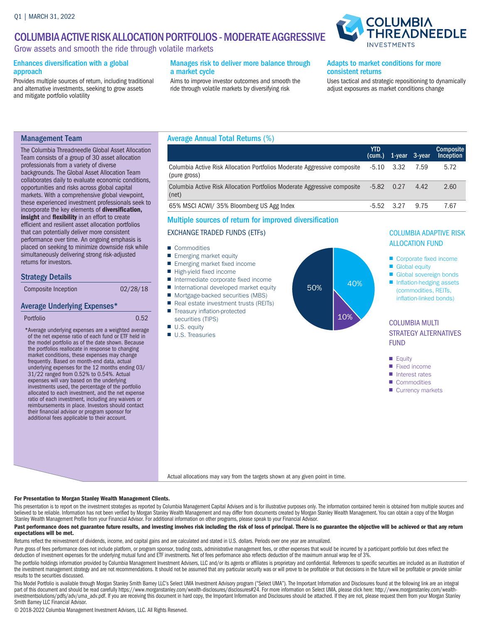# COLUMBIA ACTIVE RISK ALLOCATION PORTFOLIOS - MODERATE AGGRESSIVE

Grow assets and smooth the ride through volatile markets

#### Enhances diversification with a global approach

Provides multiple sources of return, including traditional and alternative investments, seeking to grow assets and mitigate portfolio volatility

### Manages risk to deliver more balance through a market cycle

Aims to improve investor outcomes and smooth the ride through volatile markets by diversifying risk

### Adapts to market conditions for more consistent returns

**INVESTMEN** 

Uses tactical and strategic repositioning to dynamically adjust exposures as market conditions change

**COLUMBIA** 

HREADNEEDLE

## Management Team

The Columbia Threadneedle Global Asset Allocation Team consists of a group of 30 asset allocation professionals from a variety of diverse backgrounds. The Global Asset Allocation Team collaborates daily to evaluate economic conditions, opportunities and risks across global capital markets. With a comprehensive global viewpoint, these experienced investment professionals seek to incorporate the key elements of diversification, insight and flexibility in an effort to create efficient and resilient asset allocation portfolios that can potentially deliver more consistent performance over time. An ongoing emphasis is placed on seeking to minimize downside risk while simultaneously delivering strong risk-adjusted returns for investors.

## Strategy Details

## Average Underlying Expenses\*

```
Portfolio 0.52
```
\* Average underlying expenses are a weighted average of the net expense ratio of each fund or ETF held in the model portfolio as of the date shown. Because the portfolios reallocate in response to changing market conditions, these expenses may change frequently. Based on month-end data, actual underlying expenses for the 12 months ending 03/ 31/22 ranged from 0.52% to 0.54%. Actual expenses will vary based on the underlying investments used, the percentage of the portfolio allocated to each investment, and the net expense ratio of each investment, including any waivers or reimbursements in place. Investors should contact their financial advisor or program sponsor for additional fees applicable to their account.

## Average Annual Total Returns (%)

|                                                                                          | <b>YTD</b><br>(cum.) |      | $1$ -year 3-year | <b>Composite</b><br>Inception |
|------------------------------------------------------------------------------------------|----------------------|------|------------------|-------------------------------|
| Columbia Active Risk Allocation Portfolios Moderate Aggressive composite<br>(pure gross) | $-5.10$              | 3.32 | 7.59             | 5.72                          |
| Columbia Active Risk Allocation Portfolios Moderate Aggressive composite<br>(net)        | $-5.82$              | 0.27 | 4.42             | 2.60                          |
| 65% MSCI ACWI/ 35% Bloomberg US Agg Index                                                | -5.52                | 3.27 | 9.75             | 7.67                          |

## Multiple sources of return for improved diversification

### EXCHANGE TRADED FUNDS (ETFs)

- Commodities
- Emerging market equity
- Emerging market fixed income
- High-yield fixed income
- Intermediate corporate fixed income
- International developed market equity
- Mortgage-backed securities (MBS)
- Real estate investment trusts (REITs)
- Treasury inflation-protected securities (TIPS)
- U.S. equity
- U.S. Treasuries



## COLUMBIA ADAPTIVE RISK ALLOCATION FUND

- Corporate fixed income
- Global equity
- Global sovereign bonds
- Inflation-hedging assets (commodities, REITs, inflation-linked bonds)

## COLUMBIA MULTI STRATEGY ALTERNATIVES FUND

- Equity
- Fixed income
- Interest rates
- Commodities
- Currency markets

Actual allocations may vary from the targets shown at any given point in time.

#### For Presentation to Morgan Stanley Wealth Management Clients.

This presentation is to report on the investment strategies as reported by Columbia Management Capital Advisers and is for illustrative purposes only. The information contained herein is obtained from multiple sources and believed to be reliable. Information has not been verified by Morgan Stanley Wealth Management and may differ from documents created by Morgan Stanley Wealth Management. You can obtain a copy of the Morgan Stanley Wealth Management Profile from your Financial Advisor. For additional information on other programs, please speak to your Financial Advisor.

#### Past performance does not guarantee future results, and investing involves risk including the risk of loss of principal. There is no guarantee the objective will be achieved or that any return expectations will be met.

Returns reflect the reinvestment of dividends, income, and capital gains and are calculated and stated in U.S. dollars. Periods over one year are annualized.

Pure gross of fees performance does not include platform, or program sponsor, trading costs, administrative management fees, or other expenses that would be incurred by a participant portfolio but does reflect the deduction of investment expenses for the underlying mutual fund and ETF investments. Net of fees performance also reflects deduction of the maximum annual wrap fee of 3%.

The portfolio holdings information provided by Columbia Management Investment Advisers, LLC and/or its agents or affiliates is proprietary and confidential. References to specific securities are included as an illustration the investment management strategy and are not recommendations. It should not be assumed that any particular security was or will prove to be profitable or that decisions in the future will be profitable or provide similar results to the securities discussed.

This Model Portfolio is available through Morgan Stanley Smith Barney LLC's Select UMA Investment Advisory program ("Select UMA"). The Important Information and Disclosures found at the following link are an integral part of this document and should be read carefully https://www.morganstanley.com/wealth-disclosures/disclosures#24. For more information on Select UMA, please click here: http://www.morganstanley.com/wealth-<br>investmentsolu Smith Barney LLC Financial Advisor.

© 2018-2022 Columbia Management Investment Advisers, LLC. All Rights Reserved.